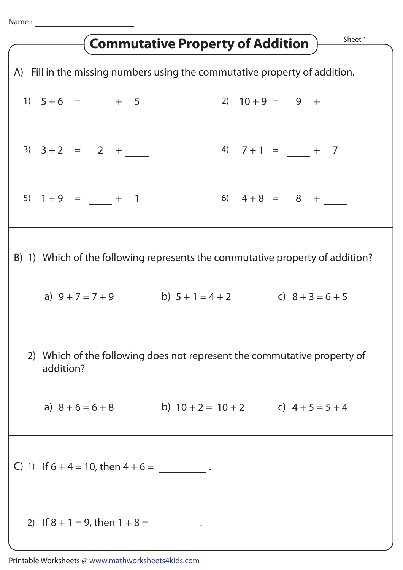